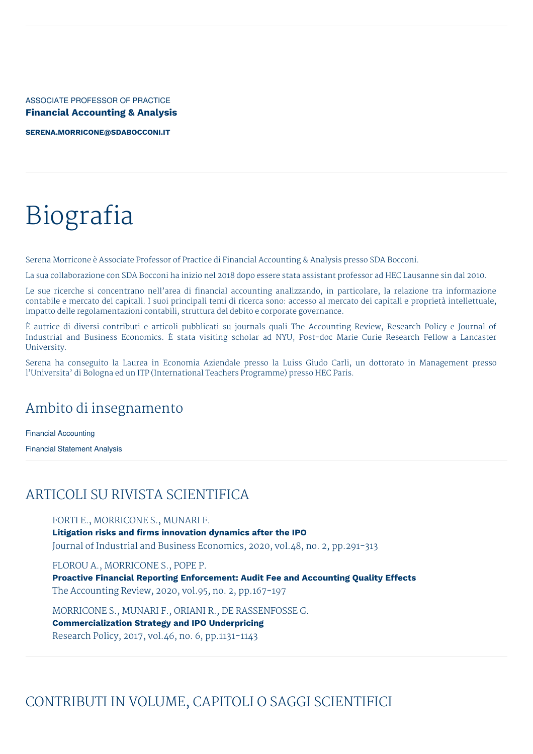ASSOCIATE PROFESSOR OF PRACTICE **Financial Accounting & Analysis**

**[SERENA.MORRICONE@SDABOCCONI.IT](mailto:serena.morricone@sdabocconi.it)**

# Biografia

Serena Morricone è Associate Professor of Practice di Financial Accounting & Analysis presso SDA Bocconi.

La sua collaborazione con SDA Bocconi ha inizio nel 2018 dopo essere stata assistant professor ad HEC Lausanne sin dal 2010.

Le sue ricerche si concentrano nell'area di financial accounting analizzando, in particolare, la relazione tra informazione contabile e mercato dei capitali. I suoi principali temi di ricerca sono: accesso al mercato dei capitali e proprietà intellettuale, impatto delle regolamentazioni contabili, struttura del debito e corporate governance.

È autrice di diversi contributi e articoli pubblicati su journals quali The Accounting Review, Research Policy e Journal of Industrial and Business Economics. È stata visiting scholar ad NYU, Post-doc Marie Curie Research Fellow a Lancaster University.

Serena ha conseguito la Laurea in Economia Aziendale presso la Luiss Giudo Carli, un dottorato in Management presso l'Universita' di Bologna ed un ITP (International Teachers Programme) presso HEC Paris.

# Ambito di insegnamento

Financial Accounting

Financial Statement Analysis

# ARTICOLI SU RIVISTA SCIENTIFICA

FORTI E., MORRICONE S., MUNARI F. **Litigation risks and firms innovation dynamics after the IPO** Journal of Industrial and Business Economics, 2020, vol.48, no. 2, pp.291-313

FLOROU A., MORRICONE S., POPE P.

**Proactive Financial Reporting Enforcement: Audit Fee and Accounting Quality Effects** The Accounting Review, 2020, vol.95, no. 2, pp.167-197

MORRICONE S., MUNARI F., ORIANI R., DE RASSENFOSSE G. **Commercialization Strategy and IPO Underpricing** Research Policy, 2017, vol.46, no. 6, pp.1131-1143